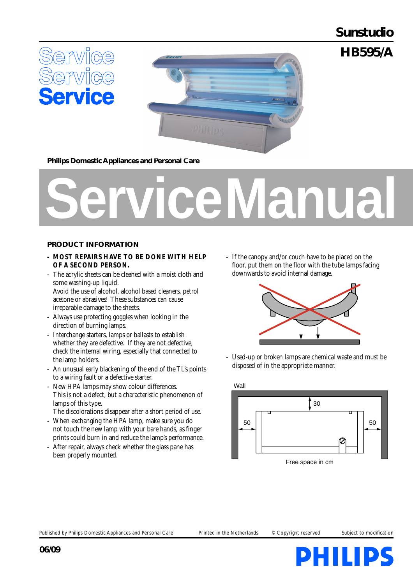# **Sunstudio**

**HB595/A**





**Philips Domestic Appliances and Personal Care**

# **Service Manual**

## **PRODUCT INFORMATION**

- **MOST REPAIRS HAVE TO BE DONE WITH HELP OF A SECOND PERSON.**
- The acrylic sheets can be cleaned with a moist cloth and some washing-up liquid. Avoid the use of alcohol, alcohol based cleaners, petrol

acetone or abrasives! These substances can cause irreparable damage to the sheets.

- Always use protecting goggles when looking in the direction of burning lamps.
- Interchange starters, lamps or ballasts to establish whether they are defective. If they are not defective, check the internal wiring, especially that connected to the lamp holders.
- An unusual early blackening of the end of the TL's points to a wiring fault or a defective starter.
- New HPA lamps may show colour differences. This is not a defect, but a characteristic phenomenon of lamps of this type.
- The discolorations disappear after a short period of use. - When exchanging the HPA lamp, make sure you do
- not touch the new lamp with your bare hands, as finger prints could burn in and reduce the lamp's performance.
- After repair, always check whether the glass pane has been properly mounted.

- If the canopy and/or couch have to be placed on the floor, put them on the floor with the tube lamps facing downwards to avoid internal damage.



Used-up or broken lamps are chemical waste and must be disposed of in the appropriate manner.



Published by Philips Domestic Appliances and Personal Care Printed in the Netherlands © Copyright reserved Subject to modification

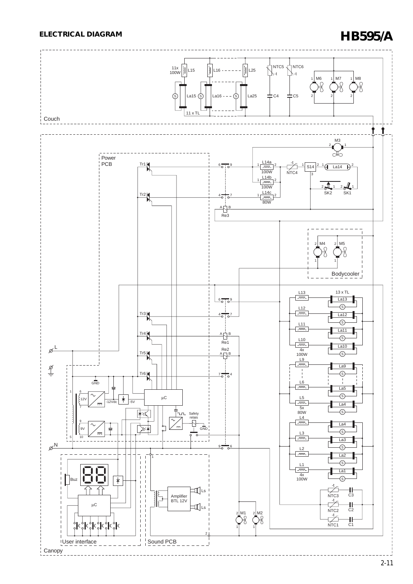# **ELECTRICAL DIAGRAM HB595/A**

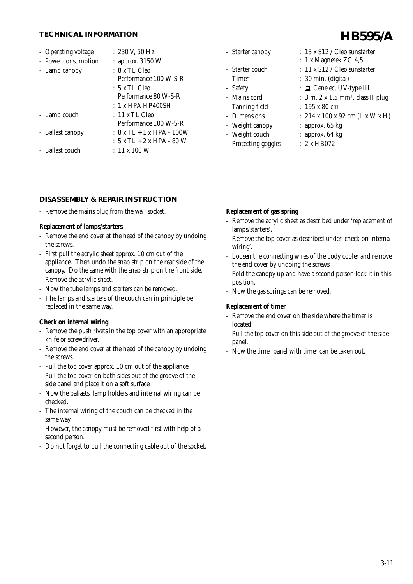## **TECHNICAL INFORMATION**

| - Operating voltage | : 230 V, 50 Hz            |
|---------------------|---------------------------|
| - Power consumption | $:$ approx. 3150 W        |
| - Lamp canopy       | :8 x TL Cleo              |
|                     | Performance 100 W-S-R     |
|                     | :5 x TL Cleo              |
|                     | Performance 80 W-S-R      |
|                     | : 1 x HPA HP400SH         |
| - Lamp couch        | $: 11 \times TL$ Cleo     |
|                     | Performance 100 W-S-R     |
| - Ballast canopy    | : 8 x TL + 1 x HPA - 100W |
|                     | : 5 x TL + 2 x HPA - 80 W |
| - Ballast couch     | $\pm$ 11 x 100 W          |

#### **DISASSEMBLY & REPAIR INSTRUCTION**

- Remove the mains plug from the wall socket.

#### **Replacement of lamps/starters**

- Remove the end cover at the head of the canopy by undoing the screws.
- First pull the acrylic sheet approx. 10 cm out of the appliance. Then undo the snap strip on the rear side of the canopy. Do the same with the snap strip on the front side.
- Remove the acrylic sheet.
- Now the tube lamps and starters can be removed.
- The lamps and starters of the couch can in principle be replaced in the same way.

## **Check on internal wiring**

- Remove the push rivets in the top cover with an appropriate knife or screwdriver.
- Remove the end cover at the head of the canopy by undoing the screws.
- Pull the top cover approx. 10 cm out of the appliance.
- Pull the top cover on both sides out of the groove of the side panel and place it on a soft surface.
- Now the ballasts, lamp holders and internal wiring can be checked.
- The internal wiring of the couch can be checked in the same way.
- However, the canopy must be removed first with help of a second person.
- Do not forget to pull the connecting cable out of the socket.

| <b>Starter canopy</b> |  |
|-----------------------|--|
|-----------------------|--|

- 
- 
- 
- 
- 
- 
- Weight canopy : approx. 65 kg
- Weight couch : approx. 64 kg
- Protecting goggles : 2 x HB072
- $: 13 \times S12$  / Cleo sunstarter
- : 1 x Magnetek ZG 4,5
- Starter couch : 11 x S12 / Cleo sunstarter
- Timer : 30 min. (digital)
- Safety : 回, Cenelec, UV-type III
- Mains cord :  $3 \text{ m}, 2 \text{ x } 1.5 \text{ mm}^2$ , class II plug
- Tanning field : 195 x 80 cm
- Dimensions : 214 x 100 x 92 cm (L x W x H)
	-
	-
	-

## **Replacement of gas spring**

- Remove the acrylic sheet as described under 'replacement of lamps/starters'.
- Remove the top cover as described under 'check on internal wiring'.
- Loosen the connecting wires of the body cooler and remove the end cover by undoing the screws.
- Fold the canopy up and have a second person lock it in this position.
- Now the gas springs can be removed.

## **Replacement of timer**

- Remove the end cover on the side where the timer is located.
- Pull the top cover on this side out of the groove of the side panel.
- Now the timer panel with timer can be taken out.

# **HB595/A**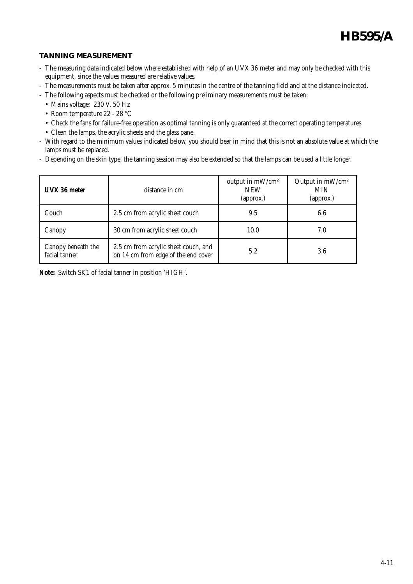**HB595/A**

## **TANNING MEASUREMENT**

- The measuring data indicated below where established with help of an UVX 36 meter and may only be checked with this equipment, since the values measured are relative values.
- The measurements must be taken after approx. 5 minutes in the centre of the tanning field and at the distance indicated.
- The following aspects must be checked or the following preliminary measurements must be taken:
	- Mains voltage: 230 V, 50 Hz
	- Room temperature 22 28 °C
	- Check the fans for failure-free operation as optimal tanning is only guaranteed at the correct operating temperatures
	- Clean the lamps, the acrylic sheets and the glass pane.
- With regard to the minimum values indicated below, you should bear in mind that this is not an absolute value at which the lamps must be replaced.
- Depending on the skin type, the tanning session may also be extended so that the lamps can be used a little longer.

| UVX 36 meter                        | distance in cm                                                              | output in mW/cm <sup>2</sup><br><b>NEW</b><br>(approx.) | Output in mW/cm <sup>2</sup><br><b>MIN</b><br>(approx.) |
|-------------------------------------|-----------------------------------------------------------------------------|---------------------------------------------------------|---------------------------------------------------------|
| Couch                               | 2.5 cm from acrylic sheet couch                                             | 9.5                                                     | 6.6                                                     |
| Canopy                              | 30 cm from acrylic sheet couch                                              | 10.0                                                    | 7.0                                                     |
| Canopy beneath the<br>facial tanner | 2.5 cm from acrylic sheet couch, and<br>on 14 cm from edge of the end cover | 5.2                                                     | 3.6                                                     |

**Note:** Switch SK1 of facial tanner in position 'HIGH'.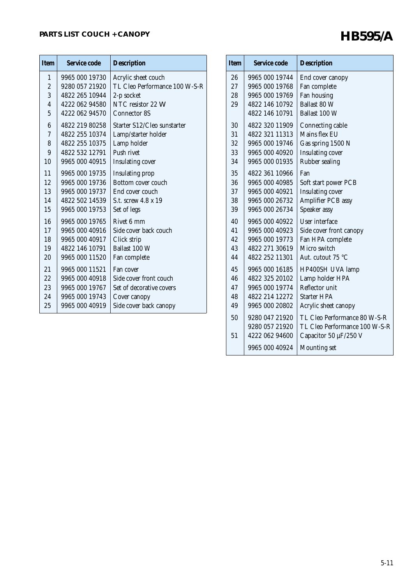| <b>Item</b>             | Service code   | <b>Description</b>            |
|-------------------------|----------------|-------------------------------|
| $\mathbf{1}$            | 9965 000 19730 | Acrylic sheet couch           |
| $\overline{2}$          | 9280 057 21920 | TL Cleo Performance 100 W-S-R |
| 3                       | 4822 265 10944 | 2-p socket                    |
| $\overline{\mathbf{4}}$ | 4222 062 94580 | NTC resistor 22 W             |
| 5                       | 4222 062 94570 | <b>Connector 8S</b>           |
| 6                       | 4822 219 80258 | Starter S12/Cleo sunstarter   |
| 7                       | 4822 255 10374 | Lamp/starter holder           |
| 8                       | 4822 255 10375 | Lamp holder                   |
| 9                       | 4822 532 12791 | Push rivet                    |
| 10                      | 9965 000 40915 | <b>Insulating cover</b>       |
| 11                      | 9965 000 19735 | Insulating prop               |
| 12                      | 9965 000 19736 | Bottom cover couch            |
| 13                      | 9965 000 19737 | End cover couch               |
| 14                      | 4822 502 14539 | S.t. screw 4.8 x 19           |
| 15                      | 9965 000 19753 | Set of legs                   |
| 16                      | 9965 000 19765 | Rivet 6 mm                    |
| 17                      | 9965 000 40916 | Side cover back couch         |
| 18                      | 9965 000 40917 | Click strip                   |
| 19                      | 4822 146 10791 | Ballast 100 W                 |
| 20                      | 9965 000 11520 | Fan complete                  |
| 21                      | 9965 000 11521 | Fan cover                     |
| 22                      | 9965 000 40918 | Side cover front couch        |
| 23                      | 9965 000 19767 | Set of decorative covers      |
| 24                      | 9965 000 19743 | Cover canopy                  |
| 25                      | 9965 000 40919 | Side cover back canopy        |
|                         |                |                               |

| <b>Item</b> | Service code   | <b>Description</b>            |
|-------------|----------------|-------------------------------|
| 26          | 9965 000 19744 | End cover canopy              |
| 2.7         | 9965 000 19768 | Fan complete                  |
| 28          | 9965 000 19769 | Fan housing                   |
| 29          | 4822 146 10792 | Ballast 80 W                  |
|             | 4822 146 10791 | Ballast 100 W                 |
| 30          | 4822 320 11909 | Connecting cable              |
| 31          | 4822 321 11313 | Mains flex EU                 |
| 32          | 9965 000 19746 | Gas spring 1500 N             |
| 33          | 9965 000 40920 | <b>Insulating cover</b>       |
| 34          | 9965 000 01935 | <b>Rubber sealing</b>         |
| 35          | 4822 361 10966 | Fan                           |
| 36          | 9965 000 40985 | Soft start power PCB          |
| 37          | 9965 000 40921 | <b>Insulating cover</b>       |
| 38          | 9965 000 26732 | <b>Amplifier PCB assy</b>     |
| 39          | 9965 000 26734 | Speaker assy                  |
| 40          | 9965 000 40922 | <b>User interface</b>         |
| 41          | 9965 000 40923 | Side cover front canopy       |
| 42          | 9965 000 19773 | Fan HPA complete              |
| 43          | 4822 271 30619 | Micro switch                  |
| 44          | 4822 252 11301 | Aut. cutout 75 °C             |
| 45          | 9965 000 16185 | HP400SH UVA lamp              |
| 46          | 4822 325 20102 | Lamp holder HPA               |
| 47          | 9965 000 19774 | Reflector unit                |
| 48          | 4822 214 12272 | <b>Starter HPA</b>            |
| 49          | 9965 000 20802 | Acrylic sheet canopy          |
| 50          | 9280 047 21920 | TL Cleo Performance 80 W-S-R  |
|             | 9280 057 21920 | TL Cleo Performance 100 W-S-R |
| 51          | 4222 062 94600 | Capacitor 50 $\mu$ F/250 V    |
|             | 9965 000 40924 | <b>Mounting set</b>           |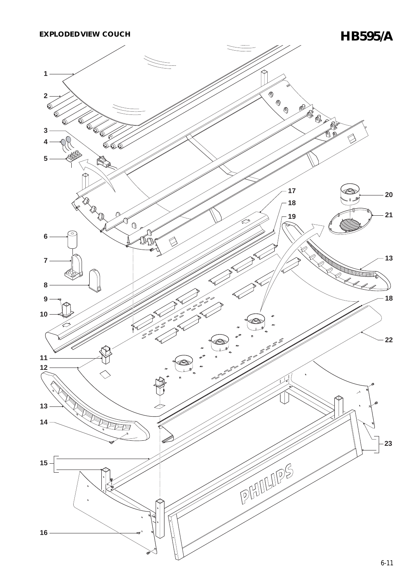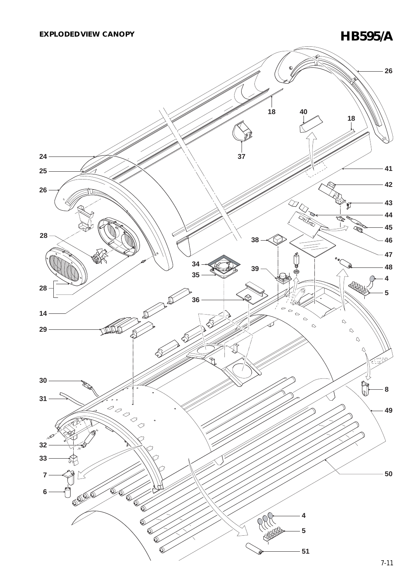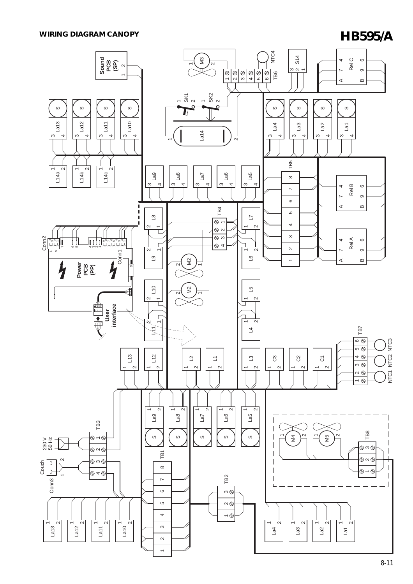# **WIRING DIAGRAM CANOPY HB595/A**

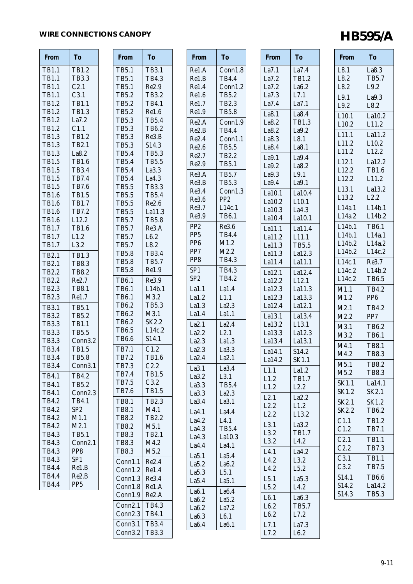# WIRE CONNECTIONS CANOPY **HB595/A**

| <b>From</b>                  | To                           | <b>From</b>                  | <b>To</b>                    |
|------------------------------|------------------------------|------------------------------|------------------------------|
| TB1.1                        | TB1.2                        | <b>TB5.1</b>                 | <b>TB3.1</b>                 |
| <b>TB1.1</b>                 | <b>TB3.3</b>                 | <b>TB5.1</b>                 | TB4.3                        |
| <b>TB1.1</b>                 | C2.1                         | <b>TB5.1</b>                 | Re2.9                        |
| <b>TB1.1</b>                 | C3.1                         | TB5.2                        | TB3.2                        |
| TB1.2                        | <b>TB1.1</b>                 | TB5.2                        | <b>TB4.1</b>                 |
| TB1.2                        | <b>TB1.3</b>                 | TB5.2                        | Re1.6                        |
| TB1.2                        | La7.2                        | <b>TB5.3</b>                 | <b>TB5.4</b>                 |
| TB1.2                        | C1.1                         | <b>TB5.3</b>                 | TB6.2                        |
| <b>TB1.3</b>                 | TB1.2                        | <b>TB5.3</b>                 | Re3.B                        |
| TB1.3                        | TB2.1                        | <b>TB5.3</b>                 | S14.3                        |
| TB1.3                        | La8.2                        | <b>TB5.4</b>                 | <b>TB5.3</b>                 |
| <b>TB1.5</b>                 | <b>TB1.6</b>                 | <b>TB5.4</b>                 | <b>TB5.5</b>                 |
| <b>TB1.5</b>                 | TB3.4                        | <b>TB5.4</b>                 | La3.3                        |
| <b>TB1.5</b>                 | <b>TB7.4</b>                 | <b>TB5.4</b>                 | La4.3                        |
| <b>TB1.5</b><br><b>TB1.6</b> | <b>TB7.6</b><br><b>TB1.5</b> | <b>TB5.5</b><br><b>TB5.5</b> | <b>TB3.3</b><br><b>TB5.4</b> |
| <b>TB1.6</b>                 | <b>TB1.7</b>                 | <b>TB5.5</b>                 | Re2.6                        |
| <b>TB1.6</b>                 | TB7.2                        | <b>TB5.5</b>                 | La11.3                       |
| <b>TB1.6</b>                 | L12.2                        | <b>TB5.7</b>                 | <b>TB5.8</b>                 |
| <b>TB1.7</b>                 | <b>TB1.6</b>                 | <b>TB5.7</b>                 | Re3.A                        |
| <b>TB1.7</b>                 | L1.2                         | <b>TB5.7</b>                 | L6.2                         |
| TB1.7                        | L3.2                         | <b>TB5.7</b>                 | L8.2                         |
| <b>TB2.1</b>                 | <b>TB1.3</b>                 | <b>TB5.8</b>                 | <b>TB3.4</b>                 |
| TB2.1                        | <b>TB8.3</b>                 | <b>TB5.8</b>                 | <b>TB5.7</b>                 |
| TB2.2                        | <b>TB8.2</b>                 | <b>TB5.8</b>                 | Re1.9                        |
| TB2.2                        | Re2.7                        | <b>TB6.1</b>                 | Re3.9                        |
| TB2.3                        | <b>TB8.1</b>                 | <b>TB6.1</b>                 | L14b.1                       |
| TB2.3                        | Re1.7                        | <b>TB6.1</b>                 | M3.2                         |
| TB3.1                        | <b>TB5.1</b>                 | TB6.2                        | <b>TB5.3</b>                 |
| <b>TB3.2</b>                 | TB5.2                        | TB6.2                        | M3.1                         |
| <b>TB3.3</b>                 | <b>TB1.1</b>                 | TB6.2                        | SK2.2                        |
| <b>TB3.3</b>                 | <b>TB5.5</b>                 | <b>TB6.5</b>                 | L14c.2                       |
| <b>TB3.3</b>                 | Conn <sub>3.2</sub>          | <b>TB6.6</b>                 | S14.1                        |
| <b>TB3.4</b>                 | <b>TB1.5</b>                 | <b>TB7.1</b>                 | C1.2                         |
| <b>TB3.4</b>                 | <b>TB5.8</b>                 | TB7.2                        | TB1.6                        |
| <b>TB3.4</b>                 | Conn <sub>3.1</sub>          | TB7.3                        | C2.2                         |
| TB4.1                        | TB4.2                        | TB7.4                        | <b>TB1.5</b>                 |
| <b>TB4.1</b>                 | TB5.2                        | TB7.5<br>TB7.6               | C3.2<br><b>TB1.5</b>         |
| <b>TB4.1</b>                 | Conn2.3                      |                              |                              |
| TB4.2                        | <b>TB4.1</b>                 | <b>TB8.1</b>                 | TB2.3                        |
| TB4.2                        | SP <sub>2</sub><br>M1.1      | <b>TB8.1</b><br>TB8.2        | M4.1<br>TB2.2                |
| TB4.2<br>TB4.2               | M2.1                         | TB8.2                        | M5.1                         |
| TB4.3                        | <b>TB5.1</b>                 | <b>TB8.3</b>                 | TB <sub>2.1</sub>            |
| TB4.3                        | Conn2.1                      | <b>TB8.3</b>                 | M4.2                         |
| TB4.3                        | PP8                          | <b>TB8.3</b>                 | M5.2                         |
| TB4.3                        | SP <sub>1</sub>              | Conn1.1                      | Re2.4                        |
| TB4.4                        | Re1.B                        | Conn1.2                      | Re1.4                        |
| TB4.4                        | Re2.B                        | Conn1.3                      | Re3.4                        |
| <b>TB4.4</b>                 | PP <sub>5</sub>              | Conn1.8                      | Re1.A                        |
|                              |                              | Conn1.9                      | Re2.A                        |
|                              |                              | Conn <sub>2.1</sub>          | <b>TB4.3</b>                 |
|                              |                              | Conn2.3                      | <b>TB4.1</b>                 |

Conn3.1 Conn3.2 TB3.4 TB3.3

| Re1.A<br>Conn1.8<br>Re1.B<br>TB4.4<br>Re1.4<br>Conn1.2<br>Re1.6<br>TB5.2<br>Re1.7<br>TB2.3<br>Re1.9<br><b>TB5.8</b><br>Re2.A<br>Conn1.9<br><b>TB4.4</b><br>Re2.B<br>Re2.4<br>Conn1.1<br><b>TB5.5</b><br>Re2.6<br>Re2.7<br>TB2.2<br>TB5.1<br>Re2.9<br><b>TB5.7</b><br>Re3.A<br>Re3.B<br><b>TB5.3</b><br>Re3.4<br>Conn1.3<br>Re3.6<br>PP <sub>2</sub><br>Re3.7<br>L14c.1<br>Re3.9<br>TB6.1<br>PP <sub>2</sub><br>Re3.6<br><b>TB4.4</b><br>PP <sub>5</sub><br>M1.2<br>PP <sub>6</sub><br>M2.2<br>PP7<br><b>TB4.3</b><br>PP8<br><b>TB4.3</b><br>SP1<br>SP2<br><b>TB4.2</b><br>La1.4<br>La1.1<br>La1.2<br>L1.1<br>La2.3<br>La1.3<br>La1.4<br>La1.1<br>La2.4<br>La2.1<br>La2.2<br>L2.1<br>La2.3<br>La1.3<br>La2.3<br>La3.3<br>La2.4<br>La2.1<br>La3.1<br>La3.4<br>La3.2<br>L3.1<br>La3.3<br><b>TB5.4</b><br>La3.3<br>La2.3<br>La3.4<br>La3.1<br>La4.1<br>La4.4<br>La4.2<br>L4.1<br>La4.3<br>TB5.4<br>La4.3<br>La10.3<br>La4.4<br>La4.1<br>La5.1<br>La5.4<br>La5.2<br>La6.2<br>La5.3<br>L5.1<br>La5.4<br>La5.1<br>La6.1<br>La6.4<br>La6.2<br>La5.2<br>La6.2<br>La7.2<br>La6.3<br>L6.1<br>La6.4<br>La <sub>6.1</sub> | <b>From</b> | Tо |
|--------------------------------------------------------------------------------------------------------------------------------------------------------------------------------------------------------------------------------------------------------------------------------------------------------------------------------------------------------------------------------------------------------------------------------------------------------------------------------------------------------------------------------------------------------------------------------------------------------------------------------------------------------------------------------------------------------------------------------------------------------------------------------------------------------------------------------------------------------------------------------------------------------------------------------------------------------------------------------------------------------------------------------------------------------------------------------------------------------------|-------------|----|
|                                                                                                                                                                                                                                                                                                                                                                                                                                                                                                                                                                                                                                                                                                                                                                                                                                                                                                                                                                                                                                                                                                              |             |    |
|                                                                                                                                                                                                                                                                                                                                                                                                                                                                                                                                                                                                                                                                                                                                                                                                                                                                                                                                                                                                                                                                                                              |             |    |
|                                                                                                                                                                                                                                                                                                                                                                                                                                                                                                                                                                                                                                                                                                                                                                                                                                                                                                                                                                                                                                                                                                              |             |    |
|                                                                                                                                                                                                                                                                                                                                                                                                                                                                                                                                                                                                                                                                                                                                                                                                                                                                                                                                                                                                                                                                                                              |             |    |
|                                                                                                                                                                                                                                                                                                                                                                                                                                                                                                                                                                                                                                                                                                                                                                                                                                                                                                                                                                                                                                                                                                              |             |    |
|                                                                                                                                                                                                                                                                                                                                                                                                                                                                                                                                                                                                                                                                                                                                                                                                                                                                                                                                                                                                                                                                                                              |             |    |
|                                                                                                                                                                                                                                                                                                                                                                                                                                                                                                                                                                                                                                                                                                                                                                                                                                                                                                                                                                                                                                                                                                              |             |    |
|                                                                                                                                                                                                                                                                                                                                                                                                                                                                                                                                                                                                                                                                                                                                                                                                                                                                                                                                                                                                                                                                                                              |             |    |
|                                                                                                                                                                                                                                                                                                                                                                                                                                                                                                                                                                                                                                                                                                                                                                                                                                                                                                                                                                                                                                                                                                              |             |    |
|                                                                                                                                                                                                                                                                                                                                                                                                                                                                                                                                                                                                                                                                                                                                                                                                                                                                                                                                                                                                                                                                                                              |             |    |
|                                                                                                                                                                                                                                                                                                                                                                                                                                                                                                                                                                                                                                                                                                                                                                                                                                                                                                                                                                                                                                                                                                              |             |    |
|                                                                                                                                                                                                                                                                                                                                                                                                                                                                                                                                                                                                                                                                                                                                                                                                                                                                                                                                                                                                                                                                                                              |             |    |
|                                                                                                                                                                                                                                                                                                                                                                                                                                                                                                                                                                                                                                                                                                                                                                                                                                                                                                                                                                                                                                                                                                              |             |    |
|                                                                                                                                                                                                                                                                                                                                                                                                                                                                                                                                                                                                                                                                                                                                                                                                                                                                                                                                                                                                                                                                                                              |             |    |
|                                                                                                                                                                                                                                                                                                                                                                                                                                                                                                                                                                                                                                                                                                                                                                                                                                                                                                                                                                                                                                                                                                              |             |    |
|                                                                                                                                                                                                                                                                                                                                                                                                                                                                                                                                                                                                                                                                                                                                                                                                                                                                                                                                                                                                                                                                                                              |             |    |
|                                                                                                                                                                                                                                                                                                                                                                                                                                                                                                                                                                                                                                                                                                                                                                                                                                                                                                                                                                                                                                                                                                              |             |    |
|                                                                                                                                                                                                                                                                                                                                                                                                                                                                                                                                                                                                                                                                                                                                                                                                                                                                                                                                                                                                                                                                                                              |             |    |
|                                                                                                                                                                                                                                                                                                                                                                                                                                                                                                                                                                                                                                                                                                                                                                                                                                                                                                                                                                                                                                                                                                              |             |    |
|                                                                                                                                                                                                                                                                                                                                                                                                                                                                                                                                                                                                                                                                                                                                                                                                                                                                                                                                                                                                                                                                                                              |             |    |
|                                                                                                                                                                                                                                                                                                                                                                                                                                                                                                                                                                                                                                                                                                                                                                                                                                                                                                                                                                                                                                                                                                              |             |    |
|                                                                                                                                                                                                                                                                                                                                                                                                                                                                                                                                                                                                                                                                                                                                                                                                                                                                                                                                                                                                                                                                                                              |             |    |
|                                                                                                                                                                                                                                                                                                                                                                                                                                                                                                                                                                                                                                                                                                                                                                                                                                                                                                                                                                                                                                                                                                              |             |    |
|                                                                                                                                                                                                                                                                                                                                                                                                                                                                                                                                                                                                                                                                                                                                                                                                                                                                                                                                                                                                                                                                                                              |             |    |
|                                                                                                                                                                                                                                                                                                                                                                                                                                                                                                                                                                                                                                                                                                                                                                                                                                                                                                                                                                                                                                                                                                              |             |    |
|                                                                                                                                                                                                                                                                                                                                                                                                                                                                                                                                                                                                                                                                                                                                                                                                                                                                                                                                                                                                                                                                                                              |             |    |
|                                                                                                                                                                                                                                                                                                                                                                                                                                                                                                                                                                                                                                                                                                                                                                                                                                                                                                                                                                                                                                                                                                              |             |    |
|                                                                                                                                                                                                                                                                                                                                                                                                                                                                                                                                                                                                                                                                                                                                                                                                                                                                                                                                                                                                                                                                                                              |             |    |
|                                                                                                                                                                                                                                                                                                                                                                                                                                                                                                                                                                                                                                                                                                                                                                                                                                                                                                                                                                                                                                                                                                              |             |    |
|                                                                                                                                                                                                                                                                                                                                                                                                                                                                                                                                                                                                                                                                                                                                                                                                                                                                                                                                                                                                                                                                                                              |             |    |
|                                                                                                                                                                                                                                                                                                                                                                                                                                                                                                                                                                                                                                                                                                                                                                                                                                                                                                                                                                                                                                                                                                              |             |    |
|                                                                                                                                                                                                                                                                                                                                                                                                                                                                                                                                                                                                                                                                                                                                                                                                                                                                                                                                                                                                                                                                                                              |             |    |
|                                                                                                                                                                                                                                                                                                                                                                                                                                                                                                                                                                                                                                                                                                                                                                                                                                                                                                                                                                                                                                                                                                              |             |    |
|                                                                                                                                                                                                                                                                                                                                                                                                                                                                                                                                                                                                                                                                                                                                                                                                                                                                                                                                                                                                                                                                                                              |             |    |
|                                                                                                                                                                                                                                                                                                                                                                                                                                                                                                                                                                                                                                                                                                                                                                                                                                                                                                                                                                                                                                                                                                              |             |    |
|                                                                                                                                                                                                                                                                                                                                                                                                                                                                                                                                                                                                                                                                                                                                                                                                                                                                                                                                                                                                                                                                                                              |             |    |
|                                                                                                                                                                                                                                                                                                                                                                                                                                                                                                                                                                                                                                                                                                                                                                                                                                                                                                                                                                                                                                                                                                              |             |    |
|                                                                                                                                                                                                                                                                                                                                                                                                                                                                                                                                                                                                                                                                                                                                                                                                                                                                                                                                                                                                                                                                                                              |             |    |
|                                                                                                                                                                                                                                                                                                                                                                                                                                                                                                                                                                                                                                                                                                                                                                                                                                                                                                                                                                                                                                                                                                              |             |    |
|                                                                                                                                                                                                                                                                                                                                                                                                                                                                                                                                                                                                                                                                                                                                                                                                                                                                                                                                                                                                                                                                                                              |             |    |
|                                                                                                                                                                                                                                                                                                                                                                                                                                                                                                                                                                                                                                                                                                                                                                                                                                                                                                                                                                                                                                                                                                              |             |    |

| From   | <b>To</b>         |
|--------|-------------------|
| La7.1  | La7.4             |
| La7.2  | TB1.2             |
| La7.2  | La6.2             |
| La7.3  | L7.1              |
| La7.4  | La7.1             |
| La8.1  | La8.4             |
| La8.2  | TB1.3             |
| La8.2  | La9.2             |
| La8.3  | L8.1              |
| La8.4  | La8.1             |
| La9.1  | La9.4             |
| La9.2  | La8.2             |
| La9.3  | L9.1              |
| La9.4  | La9.1             |
| La10.1 | La10.4            |
| La10.2 | L <sub>10.1</sub> |
| La10.3 | La4.3             |
| La10.4 | La10.1            |
| La11.1 | La11.4            |
| La11.2 | L11.1             |
| La11.3 | TB5.5             |
| La11.3 | La12.3            |
| La11.4 | La11.1            |
| La12.1 | La12.4            |
| La12.2 | L12.1             |
| La12.3 | La11.3            |
| La12.3 | La13.3            |
| La12.4 | La12.1            |
| La13.1 | La13.4            |
| La13.2 | L13.1             |
| La13.3 | La12.3            |
| La13.4 | La13.1            |
| La14.1 | S14.2             |
| La14.2 | SK1.1             |
| L1.1   | La1.2             |
| L1.2   | TB1.7             |
| L1.2   | L2.2              |
| L2.1   | La2.2             |
| L2.2   | L1.2              |
| L2.2   | L13.2             |
| L3.1   | La3.2             |
| L3.2   | TB1.7             |
| L3.2   | L4.2              |
| L4.1   | La4.2             |
| L4.2   | L3.2              |
| L4.2   | L5.2              |
| L5.1   | La5.3             |
| L5.2   | L4.2              |
| L6.1   | La6.3             |
| L6.2   | TB5.7             |
| L6.2   | L7.2              |
| L7.1   | La7.3             |
| L7.2   | L6.2              |

| From              | To                           |
|-------------------|------------------------------|
| L8.1<br>L8.2      | La8.3<br><b>TB5.7</b>        |
| L8.2              | L9.2                         |
| L9.1              | La9.3                        |
| L9.2<br>L10.1     | L8.2<br>La10.2               |
| L10.2             | L11.2                        |
| L11.1             | La11.2                       |
| L11.2<br>L11.2    | L10.2<br>L12.2               |
| L12.1             | La12.2                       |
| L12.2<br>L12.2    | <b>TB1.6</b><br>L11.2        |
| L <sub>13.1</sub> | La13.2                       |
| L13.2             | L2.2                         |
| L14a.1<br>L14a.2  | L14b.1<br>L14b.2             |
| L14b.1            | <b>TB6.1</b>                 |
| L14b.1            | L14a.1                       |
| L14b.2<br>L14b.2  | L14a.2<br>L14c.2             |
| L14c.1            | Re3.7                        |
| L14c.2<br>L14c.2  | L14b.2<br>TB6.5              |
| M1.1              | TB4.2                        |
| M1.2              | PP <sub>6</sub>              |
| M2.1<br>M2.2      | TB4.2<br>PP7                 |
| M3.1              | TB6.2                        |
| M3.2              | <b>TB6.1</b>                 |
| M4.1<br>M4.2      | <b>TB8.1</b><br><b>TB8.3</b> |
| M5.1              | <b>TB8.2</b>                 |
| M5.2              | <b>TB8.3</b>                 |
| SK1.1<br>SK1.2    | La14.1<br>SK2.1              |
| SK2.1             | SK1.2                        |
| SK2.2             | TB6.2                        |
| C1.1<br>C1.2      | TB1.2<br><b>TB7.1</b>        |
| C2.1              | <b>TB1.1</b>                 |
| C2.2<br>C3.1      | TB7.3<br><b>TB1.1</b>        |
| C3.2              | <b>TB7.5</b>                 |
| S <sub>14.1</sub> | <b>TB6.6</b>                 |
| S14.2<br>S14.3    | La14.2<br><b>TB5.3</b>       |
|                   |                              |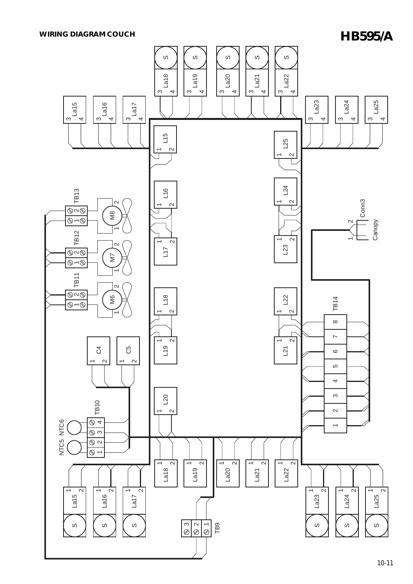